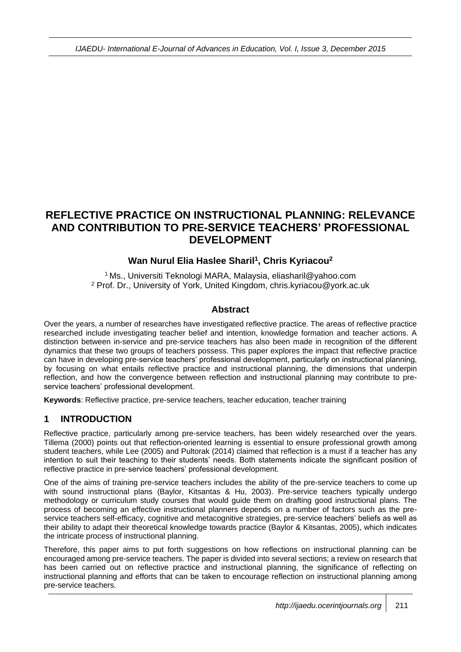# **REFLECTIVE PRACTICE ON INSTRUCTIONAL PLANNING: RELEVANCE AND CONTRIBUTION TO PRE-SERVICE TEACHERS' PROFESSIONAL DEVELOPMENT**

# **Wan Nurul Elia Haslee Sharil<sup>1</sup> , Chris Kyriacou<sup>2</sup>**

<sup>1</sup> Ms., Universiti Teknologi MARA, Malaysia, eliasharil@yahoo.com <sup>2</sup> Prof. Dr., University of York, United Kingdom, chris.kyriacou@york.ac.uk

#### **Abstract**

Over the years, a number of researches have investigated reflective practice. The areas of reflective practice researched include investigating teacher belief and intention, knowledge formation and teacher actions. A distinction between in-service and pre-service teachers has also been made in recognition of the different dynamics that these two groups of teachers possess. This paper explores the impact that reflective practice can have in developing pre-service teachers' professional development, particularly on instructional planning, by focusing on what entails reflective practice and instructional planning, the dimensions that underpin reflection, and how the convergence between reflection and instructional planning may contribute to preservice teachers' professional development.

**Keywords**: Reflective practice, pre-service teachers, teacher education, teacher training

### **1 INTRODUCTION**

Reflective practice, particularly among pre-service teachers, has been widely researched over the years. Tillema (2000) points out that reflection-oriented learning is essential to ensure professional growth among student teachers, while Lee (2005) and Pultorak (2014) claimed that reflection is a must if a teacher has any intention to suit their teaching to their students' needs. Both statements indicate the significant position of reflective practice in pre-service teachers' professional development.

One of the aims of training pre-service teachers includes the ability of the pre-service teachers to come up with sound instructional plans (Baylor, Kitsantas & Hu, 2003). Pre-service teachers typically undergo methodology or curriculum study courses that would guide them on drafting good instructional plans. The process of becoming an effective instructional planners depends on a number of factors such as the preservice teachers self-efficacy, cognitive and metacognitive strategies, pre-service teachers' beliefs as well as their ability to adapt their theoretical knowledge towards practice (Baylor & Kitsantas, 2005), which indicates the intricate process of instructional planning.

Therefore, this paper aims to put forth suggestions on how reflections on instructional planning can be encouraged among pre-service teachers. The paper is divided into several sections; a review on research that has been carried out on reflective practice and instructional planning, the significance of reflecting on instructional planning and efforts that can be taken to encourage reflection on instructional planning among pre-service teachers.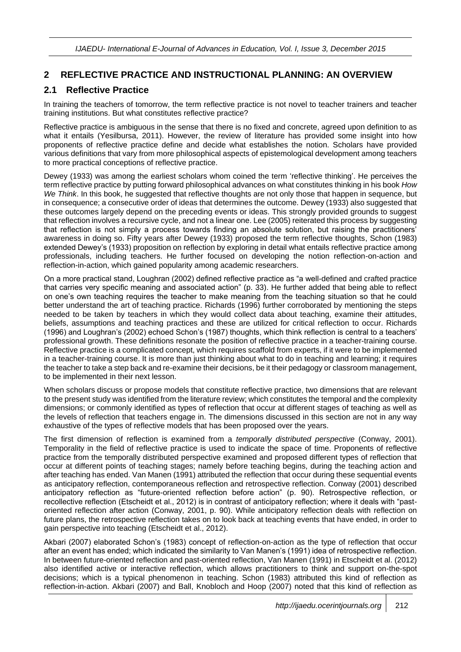### **2 REFLECTIVE PRACTICE AND INSTRUCTIONAL PLANNING: AN OVERVIEW**

### **2.1 Reflective Practice**

In training the teachers of tomorrow, the term reflective practice is not novel to teacher trainers and teacher training institutions. But what constitutes reflective practice?

Reflective practice is ambiguous in the sense that there is no fixed and concrete, agreed upon definition to as what it entails (Yesilbursa, 2011). However, the review of literature has provided some insight into how proponents of reflective practice define and decide what establishes the notion. Scholars have provided various definitions that vary from more philosophical aspects of epistemological development among teachers to more practical conceptions of reflective practice.

Dewey (1933) was among the earliest scholars whom coined the term 'reflective thinking'. He perceives the term reflective practice by putting forward philosophical advances on what constitutes thinking in his book *How We Think*. In this book, he suggested that reflective thoughts are not only those that happen in sequence, but in consequence; a consecutive order of ideas that determines the outcome. Dewey (1933) also suggested that these outcomes largely depend on the preceding events or ideas. This strongly provided grounds to suggest that reflection involves a recursive cycle, and not a linear one. Lee (2005) reiterated this process by suggesting that reflection is not simply a process towards finding an absolute solution, but raising the practitioners' awareness in doing so. Fifty years after Dewey (1933) proposed the term reflective thoughts, Schon (1983) extended Dewey's (1933) proposition on reflection by exploring in detail what entails reflective practice among professionals, including teachers. He further focused on developing the notion reflection-on-action and reflection-in-action, which gained popularity among academic researchers.

On a more practical stand, Loughran (2002) defined reflective practice as "a well-defined and crafted practice that carries very specific meaning and associated action" (p. 33). He further added that being able to reflect on one's own teaching requires the teacher to make meaning from the teaching situation so that he could better understand the art of teaching practice. Richards (1996) further corroborated by mentioning the steps needed to be taken by teachers in which they would collect data about teaching, examine their attitudes, beliefs, assumptions and teaching practices and these are utilized for critical reflection to occur. Richards (1996) and Loughran's (2002) echoed Schon's (1987) thoughts, which think reflection is central to a teachers' professional growth. These definitions resonate the position of reflective practice in a teacher-training course. Reflective practice is a complicated concept, which requires scaffold from experts, if it were to be implemented in a teacher-training course. It is more than just thinking about what to do in teaching and learning; it requires the teacher to take a step back and re-examine their decisions, be it their pedagogy or classroom management, to be implemented in their next lesson.

When scholars discuss or propose models that constitute reflective practice, two dimensions that are relevant to the present study was identified from the literature review; which constitutes the temporal and the complexity dimensions; or commonly identified as types of reflection that occur at different stages of teaching as well as the levels of reflection that teachers engage in. The dimensions discussed in this section are not in any way exhaustive of the types of reflective models that has been proposed over the years.

The first dimension of reflection is examined from a *temporally distributed perspective* (Conway, 2001). Temporality in the field of reflective practice is used to indicate the space of time. Proponents of reflective practice from the temporally distributed perspective examined and proposed different types of reflection that occur at different points of teaching stages; namely before teaching begins, during the teaching action and after teaching has ended. Van Manen (1991) attributed the reflection that occur during these sequential events as anticipatory reflection, contemporaneous reflection and retrospective reflection. Conway (2001) described anticipatory reflection as "future-oriented reflection before action" (p. 90). Retrospective reflection, or recollective reflection (Etscheidt et al., 2012) is in contrast of anticipatory reflection; where it deals with "pastoriented reflection after action (Conway, 2001, p. 90). While anticipatory reflection deals with reflection on future plans, the retrospective reflection takes on to look back at teaching events that have ended, in order to gain perspective into teaching (Etscheidt et al., 2012).

Akbari (2007) elaborated Schon's (1983) concept of reflection-on-action as the type of reflection that occur after an event has ended; which indicated the similarity to Van Manen's (1991) idea of retrospective reflection. In between future-oriented reflection and past-oriented reflection, Van Manen (1991) in Etscheidt et al. (2012) also identified active or interactive reflection, which allows practitioners to think and support on-the-spot decisions; which is a typical phenomenon in teaching. Schon (1983) attributed this kind of reflection as reflection-in-action. Akbari (2007) and Ball, Knobloch and Hoop (2007) noted that this kind of reflection as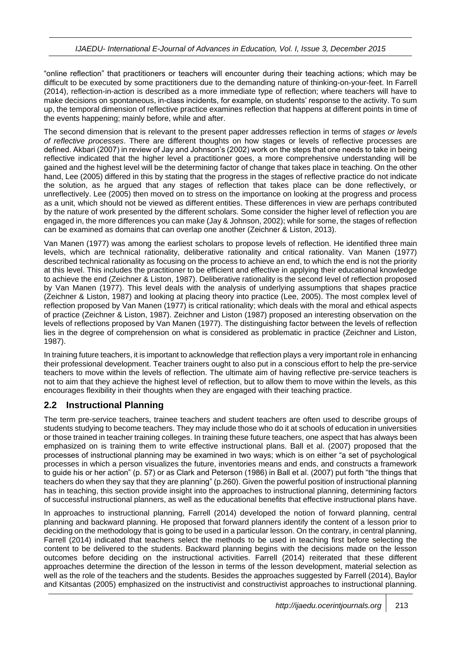"online reflection" that practitioners or teachers will encounter during their teaching actions; which may be difficult to be executed by some practitioners due to the demanding nature of thinking-on-your-feet. In Farrell (2014), reflection-in-action is described as a more immediate type of reflection; where teachers will have to make decisions on spontaneous, in-class incidents, for example, on students' response to the activity. To sum up, the temporal dimension of reflective practice examines reflection that happens at different points in time of the events happening; mainly before, while and after.

The second dimension that is relevant to the present paper addresses reflection in terms of *stages or levels of reflective processes*. There are different thoughts on how stages or levels of reflective processes are defined. Akbari (2007) in review of Jay and Johnson's (2002) work on the steps that one needs to take in being reflective indicated that the higher level a practitioner goes, a more comprehensive understanding will be gained and the highest level will be the determining factor of change that takes place in teaching. On the other hand, Lee (2005) differed in this by stating that the progress in the stages of reflective practice do not indicate the solution, as he argued that any stages of reflection that takes place can be done reflectively, or unreflectively. Lee (2005) then moved on to stress on the importance on looking at the progress and process as a unit, which should not be viewed as different entities. These differences in view are perhaps contributed by the nature of work presented by the different scholars. Some consider the higher level of reflection you are engaged in, the more differences you can make (Jay & Johnson, 2002); while for some, the stages of reflection can be examined as domains that can overlap one another (Zeichner & Liston, 2013).

Van Manen (1977) was among the earliest scholars to propose levels of reflection. He identified three main levels, which are technical rationality, deliberative rationality and critical rationality. Van Manen (1977) described technical rationality as focusing on the process to achieve an end, to which the end is not the priority at this level. This includes the practitioner to be efficient and effective in applying their educational knowledge to achieve the end (Zeichner & Liston, 1987). Deliberative rationality is the second level of reflection proposed by Van Manen (1977). This level deals with the analysis of underlying assumptions that shapes practice (Zeichner & Liston, 1987) and looking at placing theory into practice (Lee, 2005). The most complex level of reflection proposed by Van Manen (1977) is critical rationality; which deals with the moral and ethical aspects of practice (Zeichner & Liston, 1987). Zeichner and Liston (1987) proposed an interesting observation on the levels of reflections proposed by Van Manen (1977). The distinguishing factor between the levels of reflection lies in the degree of comprehension on what is considered as problematic in practice (Zeichner and Liston, 1987).

In training future teachers, it is important to acknowledge that reflection plays a very important role in enhancing their professional development. Teacher trainers ought to also put in a conscious effort to help the pre-service teachers to move within the levels of reflection. The ultimate aim of having reflective pre-service teachers is not to aim that they achieve the highest level of reflection, but to allow them to move within the levels, as this encourages flexibility in their thoughts when they are engaged with their teaching practice.

### **2.2 Instructional Planning**

The term pre-service teachers, trainee teachers and student teachers are often used to describe groups of students studying to become teachers. They may include those who do it at schools of education in universities or those trained in teacher training colleges. In training these future teachers, one aspect that has always been emphasized on is training them to write effective instructional plans. Ball et al. (2007) proposed that the processes of instructional planning may be examined in two ways; which is on either "a set of psychological processes in which a person visualizes the future, inventories means and ends, and constructs a framework to guide his or her action" (p. 57) or as Clark and Peterson (1986) in Ball et al. (2007) put forth "the things that teachers do when they say that they are planning" (p.260). Given the powerful position of instructional planning has in teaching, this section provide insight into the approaches to instructional planning, determining factors of successful instructional planners, as well as the educational benefits that effective instructional plans have.

In approaches to instructional planning, Farrell (2014) developed the notion of forward planning, central planning and backward planning. He proposed that forward planners identify the content of a lesson prior to deciding on the methodology that is going to be used in a particular lesson. On the contrary, in central planning, Farrell (2014) indicated that teachers select the methods to be used in teaching first before selecting the content to be delivered to the students. Backward planning begins with the decisions made on the lesson outcomes before deciding on the instructional activities. Farrell (2014) reiterated that these different approaches determine the direction of the lesson in terms of the lesson development, material selection as well as the role of the teachers and the students. Besides the approaches suggested by Farrell (2014), Baylor and Kitsantas (2005) emphasized on the instructivist and constructivist approaches to instructional planning.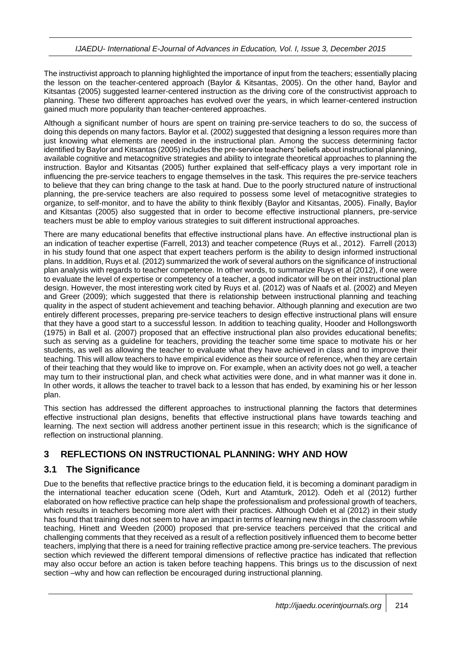The instructivist approach to planning highlighted the importance of input from the teachers; essentially placing the lesson on the teacher-centered approach (Baylor & Kitsantas, 2005). On the other hand, Baylor and Kitsantas (2005) suggested learner-centered instruction as the driving core of the constructivist approach to planning. These two different approaches has evolved over the years, in which learner-centered instruction gained much more popularity than teacher-centered approaches.

Although a significant number of hours are spent on training pre-service teachers to do so, the success of doing this depends on many factors. Baylor et al. (2002) suggested that designing a lesson requires more than just knowing what elements are needed in the instructional plan. Among the success determining factor identified by Baylor and Kitsantas (2005) includes the pre-service teachers' beliefs about instructional planning, available cognitive and metacognitive strategies and ability to integrate theoretical approaches to planning the instruction. Baylor and Kitsantas (2005) further explained that self-efficacy plays a very important role in influencing the pre-service teachers to engage themselves in the task. This requires the pre-service teachers to believe that they can bring change to the task at hand. Due to the poorly structured nature of instructional planning, the pre-service teachers are also required to possess some level of metacognitive strategies to organize, to self-monitor, and to have the ability to think flexibly (Baylor and Kitsantas, 2005). Finally, Baylor and Kitsantas (2005) also suggested that in order to become effective instructional planners, pre-service teachers must be able to employ various strategies to suit different instructional approaches.

There are many educational benefits that effective instructional plans have. An effective instructional plan is an indication of teacher expertise (Farrell, 2013) and teacher competence (Ruys et al., 2012). Farrell (2013) in his study found that one aspect that expert teachers perform is the ability to design informed instructional plans. In addition, Ruys et al. (2012) summarized the work of several authors on the significance of instructional plan analysis with regards to teacher competence. In other words, to summarize Ruys et al (2012), if one were to evaluate the level of expertise or competency of a teacher, a good indicator will be on their instructional plan design. However, the most interesting work cited by Ruys et al. (2012) was of Naafs et al. (2002) and Meyen and Greer (2009); which suggested that there is relationship between instructional planning and teaching quality in the aspect of student achievement and teaching behavior. Although planning and execution are two entirely different processes, preparing pre-service teachers to design effective instructional plans will ensure that they have a good start to a successful lesson. In addition to teaching quality, Hooder and Hollongsworth (1975) in Ball et al. (2007) proposed that an effective instructional plan also provides educational benefits; such as serving as a guideline for teachers, providing the teacher some time space to motivate his or her students, as well as allowing the teacher to evaluate what they have achieved in class and to improve their teaching. This will allow teachers to have empirical evidence as their source of reference, when they are certain of their teaching that they would like to improve on. For example, when an activity does not go well, a teacher may turn to their instructional plan, and check what activities were done, and in what manner was it done in. In other words, it allows the teacher to travel back to a lesson that has ended, by examining his or her lesson plan.

This section has addressed the different approaches to instructional planning the factors that determines effective instructional plan designs, benefits that effective instructional plans have towards teaching and learning. The next section will address another pertinent issue in this research; which is the significance of reflection on instructional planning.

# **3 REFLECTIONS ON INSTRUCTIONAL PLANNING: WHY AND HOW**

# **3.1 The Significance**

Due to the benefits that reflective practice brings to the education field, it is becoming a dominant paradigm in the international teacher education scene (Odeh, Kurt and Atamturk, 2012). Odeh et al (2012) further elaborated on how reflective practice can help shape the professionalism and professional growth of teachers, which results in teachers becoming more alert with their practices. Although Odeh et al (2012) in their study has found that training does not seem to have an impact in terms of learning new things in the classroom while teaching, Hinett and Weeden (2000) proposed that pre-service teachers perceived that the critical and challenging comments that they received as a result of a reflection positively influenced them to become better teachers, implying that there is a need for training reflective practice among pre-service teachers. The previous section which reviewed the different temporal dimensions of reflective practice has indicated that reflection may also occur before an action is taken before teaching happens. This brings us to the discussion of next section –why and how can reflection be encouraged during instructional planning.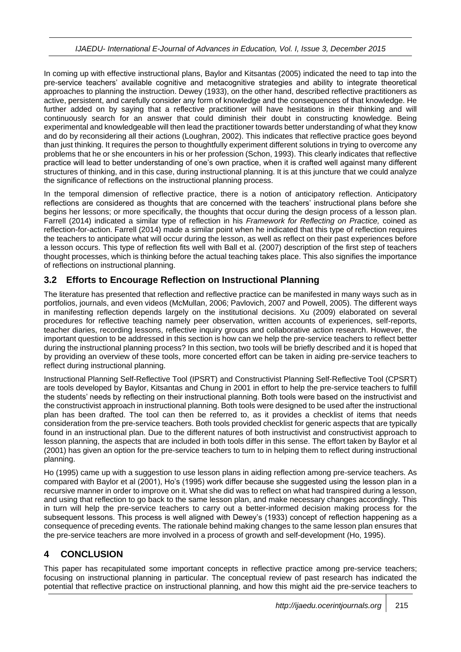In coming up with effective instructional plans, Baylor and Kitsantas (2005) indicated the need to tap into the pre-service teachers' available cognitive and metacognitive strategies and ability to integrate theoretical approaches to planning the instruction. Dewey (1933), on the other hand, described reflective practitioners as active, persistent, and carefully consider any form of knowledge and the consequences of that knowledge. He further added on by saying that a reflective practitioner will have hesitations in their thinking and will continuously search for an answer that could diminish their doubt in constructing knowledge. Being experimental and knowledgeable will then lead the practitioner towards better understanding of what they know and do by reconsidering all their actions (Loughran, 2002). This indicates that reflective practice goes beyond than just thinking. It requires the person to thoughtfully experiment different solutions in trying to overcome any problems that he or she encounters in his or her profession (Schon, 1993). This clearly indicates that reflective practice will lead to better understanding of one's own practice, when it is crafted well against many different structures of thinking, and in this case, during instructional planning. It is at this juncture that we could analyze the significance of reflections on the instructional planning process.

In the temporal dimension of reflective practice, there is a notion of anticipatory reflection. Anticipatory reflections are considered as thoughts that are concerned with the teachers' instructional plans before she begins her lessons; or more specifically, the thoughts that occur during the design process of a lesson plan. Farrell (2014) indicated a similar type of reflection in his *Framework for Reflecting on Practice,* coined as reflection-for-action. Farrell (2014) made a similar point when he indicated that this type of reflection requires the teachers to anticipate what will occur during the lesson, as well as reflect on their past experiences before a lesson occurs. This type of reflection fits well with Ball et al. (2007) description of the first step of teachers thought processes, which is thinking before the actual teaching takes place. This also signifies the importance of reflections on instructional planning.

# **3.2 Efforts to Encourage Reflection on Instructional Planning**

The literature has presented that reflection and reflective practice can be manifested in many ways such as in portfolios, journals, and even videos (McMullan, 2006; Pavlovich, 2007 and Powell, 2005). The different ways in manifesting reflection depends largely on the institutional decisions. Xu (2009) elaborated on several procedures for reflective teaching namely peer observation, written accounts of experiences, self-reports, teacher diaries, recording lessons, reflective inquiry groups and collaborative action research. However, the important question to be addressed in this section is how can we help the pre-service teachers to reflect better during the instructional planning process? In this section, two tools will be briefly described and it is hoped that by providing an overview of these tools, more concerted effort can be taken in aiding pre-service teachers to reflect during instructional planning.

Instructional Planning Self-Reflective Tool (IPSRT) and Constructivist Planning Self-Reflective Tool (CPSRT) are tools developed by Baylor, Kitsantas and Chung in 2001 in effort to help the pre-service teachers to fulfill the students' needs by reflecting on their instructional planning. Both tools were based on the instructivist and the constructivist approach in instructional planning. Both tools were designed to be used after the instructional plan has been drafted. The tool can then be referred to, as it provides a checklist of items that needs consideration from the pre-service teachers. Both tools provided checklist for generic aspects that are typically found in an instructional plan. Due to the different natures of both instructivist and constructivist approach to lesson planning, the aspects that are included in both tools differ in this sense. The effort taken by Baylor et al (2001) has given an option for the pre-service teachers to turn to in helping them to reflect during instructional planning.

Ho (1995) came up with a suggestion to use lesson plans in aiding reflection among pre-service teachers. As compared with Baylor et al (2001), Ho's (1995) work differ because she suggested using the lesson plan in a recursive manner in order to improve on it. What she did was to reflect on what had transpired during a lesson, and using that reflection to go back to the same lesson plan, and make necessary changes accordingly. This in turn will help the pre-service teachers to carry out a better-informed decision making process for the subsequent lessons. This process is well aligned with Dewey's (1933) concept of reflection happening as a consequence of preceding events. The rationale behind making changes to the same lesson plan ensures that the pre-service teachers are more involved in a process of growth and self-development (Ho, 1995).

# **4 CONCLUSION**

This paper has recapitulated some important concepts in reflective practice among pre-service teachers; focusing on instructional planning in particular. The conceptual review of past research has indicated the potential that reflective practice on instructional planning, and how this might aid the pre-service teachers to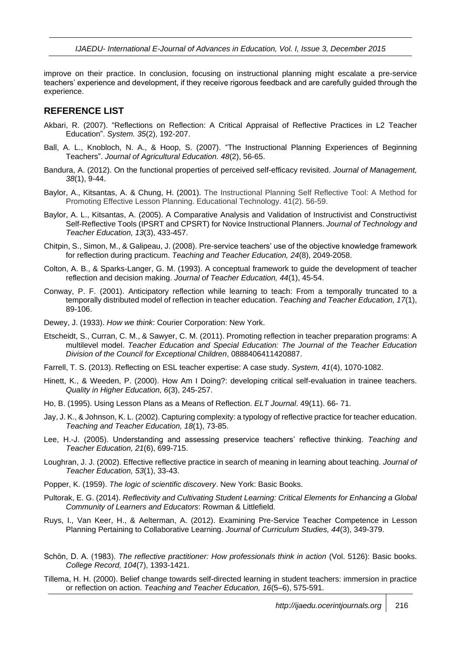improve on their practice. In conclusion, focusing on instructional planning might escalate a pre-service teachers' experience and development, if they receive rigorous feedback and are carefully guided through the experience.

#### **REFERENCE LIST**

- Akbari, R. (2007). "Reflections on Reflection: A Critical Appraisal of Reflective Practices in L2 Teacher Education". *System. 35*(2), 192-207.
- Ball, A. L., Knobloch, N. A., & Hoop, S. (2007). "The Instructional Planning Experiences of Beginning Teachers". *Journal of Agricultural Education. 48*(2), 56-65.
- Bandura, A. (2012). On the functional properties of perceived self-efficacy revisited. *Journal of Management, 38*(1), 9-44.
- Baylor, A., Kitsantas, A. & Chung, H. (2001). The Instructional Planning Self Reflective Tool: A Method for Promoting Effective Lesson Planning. Educational Technology. 41(2). 56-59.
- Baylor, A. L., Kitsantas, A. (2005). A Comparative Analysis and Validation of Instructivist and Constructivist Self-Reflective Tools (IPSRT and CPSRT) for Novice Instructional Planners. *Journal of Technology and Teacher Education, 13*(3), 433-457.
- Chitpin, S., Simon, M., & Galipeau, J. (2008). Pre-service teachers' use of the objective knowledge framework for reflection during practicum. *Teaching and Teacher Education, 24*(8), 2049-2058.
- Colton, A. B., & Sparks-Langer, G. M. (1993). A conceptual framework to guide the development of teacher reflection and decision making. *Journal of Teacher Education, 44*(1), 45-54.
- Conway, P. F. (2001). Anticipatory reflection while learning to teach: From a temporally truncated to a temporally distributed model of reflection in teacher education. *Teaching and Teacher Education, 17*(1), 89-106.
- Dewey, J. (1933). *How we think*: Courier Corporation: New York.
- Etscheidt, S., Curran, C. M., & Sawyer, C. M. (2011). Promoting reflection in teacher preparation programs: A multilevel model. *Teacher Education and Special Education: The Journal of the Teacher Education Division of the Council for Exceptional Children*, 0888406411420887.
- Farrell, T. S. (2013). Reflecting on ESL teacher expertise: A case study. *System, 41*(4), 1070-1082.
- Hinett, K., & Weeden, P. (2000). How Am I Doing?: developing critical self-evaluation in trainee teachers. *Quality in Higher Education, 6*(3), 245-257.
- Ho, B. (1995). Using Lesson Plans as a Means of Reflection. *ELT Journal*. 49(11). 66- 71.
- Jay, J. K., & Johnson, K. L. (2002). Capturing complexity: a typology of reflective practice for teacher education. *Teaching and Teacher Education, 18*(1), 73-85.
- Lee, H.-J. (2005). Understanding and assessing preservice teachers' reflective thinking. *Teaching and Teacher Education, 21*(6), 699-715.
- Loughran, J. J. (2002). Effective reflective practice in search of meaning in learning about teaching. *Journal of Teacher Education, 53*(1), 33-43.
- Popper, K. (1959). *The logic of scientific discovery*. New York: Basic Books.
- Pultorak, E. G. (2014). *Reflectivity and Cultivating Student Learning: Critical Elements for Enhancing a Global Community of Learners and Educators*: Rowman & Littlefield.
- Ruys, I., Van Keer, H., & Aelterman, A. (2012). Examining Pre-Service Teacher Competence in Lesson Planning Pertaining to Collaborative Learning. *Journal of Curriculum Studies, 44*(3), 349-379.
- Schön, D. A. (1983). *The reflective practitioner: How professionals think in action* (Vol. 5126): Basic books. *College Record, 104*(7), 1393-1421.
- Tillema, H. H. (2000). Belief change towards self-directed learning in student teachers: immersion in practice or reflection on action. *Teaching and Teacher Education, 16*(5–6), 575-591.